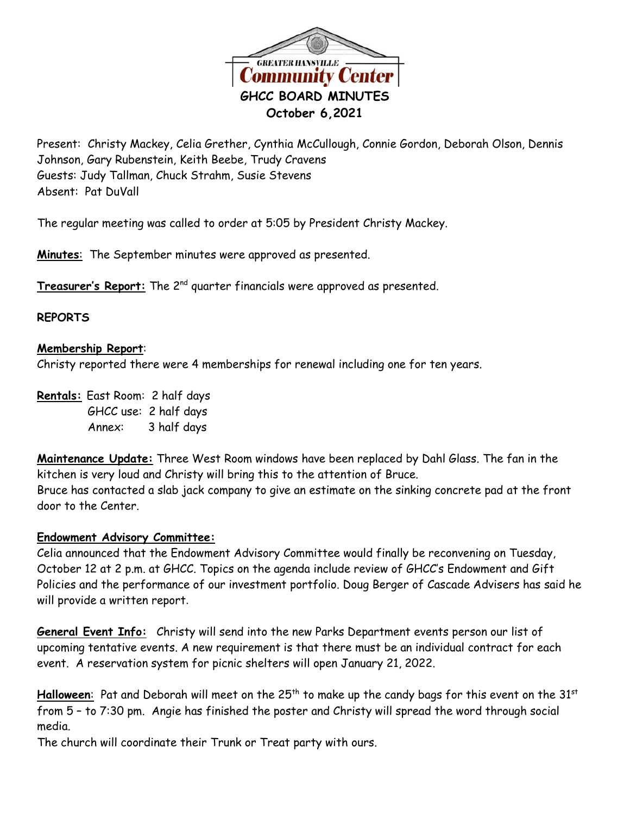

Present: Christy Mackey, Celia Grether, Cynthia McCullough, Connie Gordon, Deborah Olson, Dennis Johnson, Gary Rubenstein, Keith Beebe, Trudy Cravens Guests: Judy Tallman, Chuck Strahm, Susie Stevens Absent: Pat DuVall

The regular meeting was called to order at 5:05 by President Christy Mackey.

**Minutes**: The September minutes were approved as presented.

**Treasurer's Report:** The 2 nd quarter financials were approved as presented.

## **REPORTS**

## **Membership Report**:

Christy reported there were 4 memberships for renewal including one for ten years.

**Rentals:** East Room: 2 half days GHCC use: 2 half days Annex: 3 half days

**Maintenance Update:** Three West Room windows have been replaced by Dahl Glass. The fan in the kitchen is very loud and Christy will bring this to the attention of Bruce. Bruce has contacted a slab jack company to give an estimate on the sinking concrete pad at the front door to the Center.

## **Endowment Advisory Committee:**

Celia announced that the Endowment Advisory Committee would finally be reconvening on Tuesday, October 12 at 2 p.m. at GHCC. Topics on the agenda include review of GHCC's Endowment and Gift Policies and the performance of our investment portfolio. Doug Berger of Cascade Advisers has said he will provide a written report.

**General Event Info:** Christy will send into the new Parks Department events person our list of upcoming tentative events. A new requirement is that there must be an individual contract for each event. A reservation system for picnic shelters will open January 21, 2022.

Halloween: Pat and Deborah will meet on the 25<sup>th</sup> to make up the candy bags for this event on the 31<sup>st</sup> from 5 – to 7:30 pm. Angie has finished the poster and Christy will spread the word through social media.

The church will coordinate their Trunk or Treat party with ours.